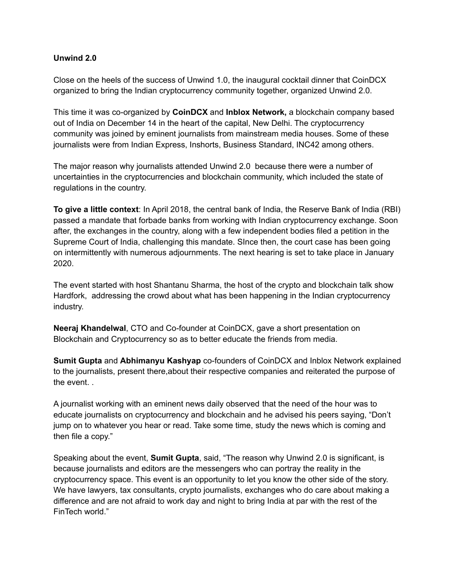## **Unwind 2.0**

Close on the heels of the success of Unwind 1.0, the inaugural cocktail dinner that CoinDCX organized to bring the Indian cryptocurrency community together, organized Unwind 2.0.

This time it was co-organized by **CoinDCX** and **Inblox Network,** a blockchain company based out of India on December 14 in the heart of the capital, New Delhi. The cryptocurrency community was joined by eminent journalists from mainstream media houses. Some of these journalists were from Indian Express, Inshorts, Business Standard, INC42 among others.

The major reason why journalists attended Unwind 2.0 because there were a number of uncertainties in the cryptocurrencies and blockchain community, which included the state of regulations in the country.

**To give a little context**: In April 2018, the central bank of India, the Reserve Bank of India (RBI) passed a mandate that forbade banks from working with Indian cryptocurrency exchange. Soon after, the exchanges in the country, along with a few independent bodies filed a petition in the Supreme Court of India, challenging this mandate. SInce then, the court case has been going on intermittently with numerous adjournments. The next hearing is set to take place in January 2020.

The event started with host Shantanu Sharma, the host of the crypto and blockchain talk show Hardfork, addressing the crowd about what has been happening in the Indian cryptocurrency industry.

**Neeraj Khandelwal**, CTO and Co-founder at CoinDCX, gave a short presentation on Blockchain and Cryptocurrency so as to better educate the friends from media.

**Sumit Gupta** and **Abhimanyu Kashyap** co-founders of CoinDCX and Inblox Network explained to the journalists, present there,about their respective companies and reiterated the purpose of the event. .

A journalist working with an eminent news daily observed that the need of the hour was to educate journalists on cryptocurrency and blockchain and he advised his peers saying, "Don't jump on to whatever you hear or read. Take some time, study the news which is coming and then file a copy."

Speaking about the event, **Sumit Gupta**, said, "The reason why Unwind 2.0 is significant, is because journalists and editors are the messengers who can portray the reality in the cryptocurrency space. This event is an opportunity to let you know the other side of the story. We have lawyers, tax consultants, crypto journalists, exchanges who do care about making a difference and are not afraid to work day and night to bring India at par with the rest of the FinTech world."